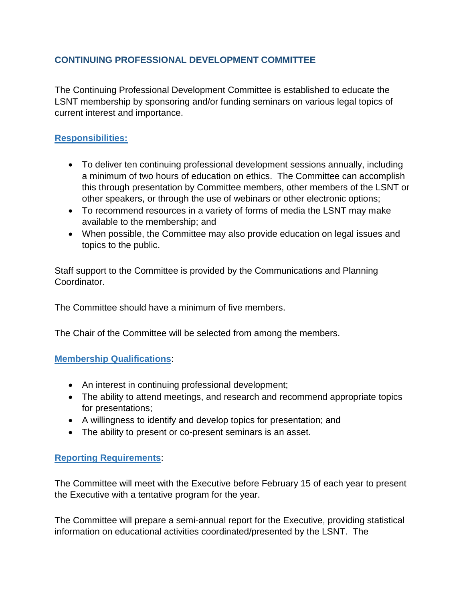## **CONTINUING PROFESSIONAL DEVELOPMENT COMMITTEE**

The Continuing Professional Development Committee is established to educate the LSNT membership by sponsoring and/or funding seminars on various legal topics of current interest and importance.

## **Responsibilities:**

- To deliver ten continuing professional development sessions annually, including a minimum of two hours of education on ethics. The Committee can accomplish this through presentation by Committee members, other members of the LSNT or other speakers, or through the use of webinars or other electronic options;
- To recommend resources in a variety of forms of media the LSNT may make available to the membership; and
- When possible, the Committee may also provide education on legal issues and topics to the public.

Staff support to the Committee is provided by the Communications and Planning Coordinator.

The Committee should have a minimum of five members.

The Chair of the Committee will be selected from among the members.

## **Membership Qualifications**:

- An interest in continuing professional development;
- The ability to attend meetings, and research and recommend appropriate topics for presentations;
- A willingness to identify and develop topics for presentation; and
- The ability to present or co-present seminars is an asset.

## **Reporting Requirements**:

The Committee will meet with the Executive before February 15 of each year to present the Executive with a tentative program for the year.

The Committee will prepare a semi-annual report for the Executive, providing statistical information on educational activities coordinated/presented by the LSNT. The